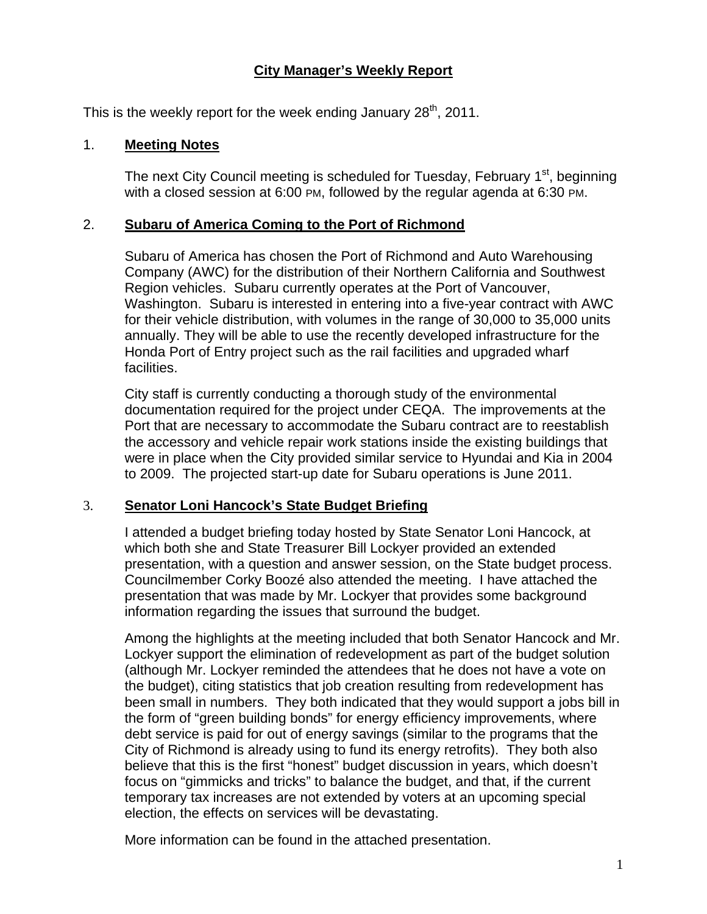## **City Manager's Weekly Report**

This is the weekly report for the week ending January  $28<sup>th</sup>$ , 2011.

#### 1. **Meeting Notes**

The next City Council meeting is scheduled for Tuesday, February 1<sup>st</sup>, beginning with a closed session at 6:00 PM, followed by the regular agenda at 6:30 PM.

#### 2. **Subaru of America Coming to the Port of Richmond**

Subaru of America has chosen the Port of Richmond and Auto Warehousing Company (AWC) for the distribution of their Northern California and Southwest Region vehicles. Subaru currently operates at the Port of Vancouver, Washington. Subaru is interested in entering into a five-year contract with AWC for their vehicle distribution, with volumes in the range of 30,000 to 35,000 units annually. They will be able to use the recently developed infrastructure for the Honda Port of Entry project such as the rail facilities and upgraded wharf facilities.

City staff is currently conducting a thorough study of the environmental documentation required for the project under CEQA. The improvements at the Port that are necessary to accommodate the Subaru contract are to reestablish the accessory and vehicle repair work stations inside the existing buildings that were in place when the City provided similar service to Hyundai and Kia in 2004 to 2009. The projected start-up date for Subaru operations is June 2011.

#### 3. **Senator Loni Hancock's State Budget Briefing**

I attended a budget briefing today hosted by State Senator Loni Hancock, at which both she and State Treasurer Bill Lockyer provided an extended presentation, with a question and answer session, on the State budget process. Councilmember Corky Boozé also attended the meeting. I have attached the presentation that was made by Mr. Lockyer that provides some background information regarding the issues that surround the budget.

Among the highlights at the meeting included that both Senator Hancock and Mr. Lockyer support the elimination of redevelopment as part of the budget solution (although Mr. Lockyer reminded the attendees that he does not have a vote on the budget), citing statistics that job creation resulting from redevelopment has been small in numbers. They both indicated that they would support a jobs bill in the form of "green building bonds" for energy efficiency improvements, where debt service is paid for out of energy savings (similar to the programs that the City of Richmond is already using to fund its energy retrofits). They both also believe that this is the first "honest" budget discussion in years, which doesn't focus on "gimmicks and tricks" to balance the budget, and that, if the current temporary tax increases are not extended by voters at an upcoming special election, the effects on services will be devastating.

More information can be found in the attached presentation.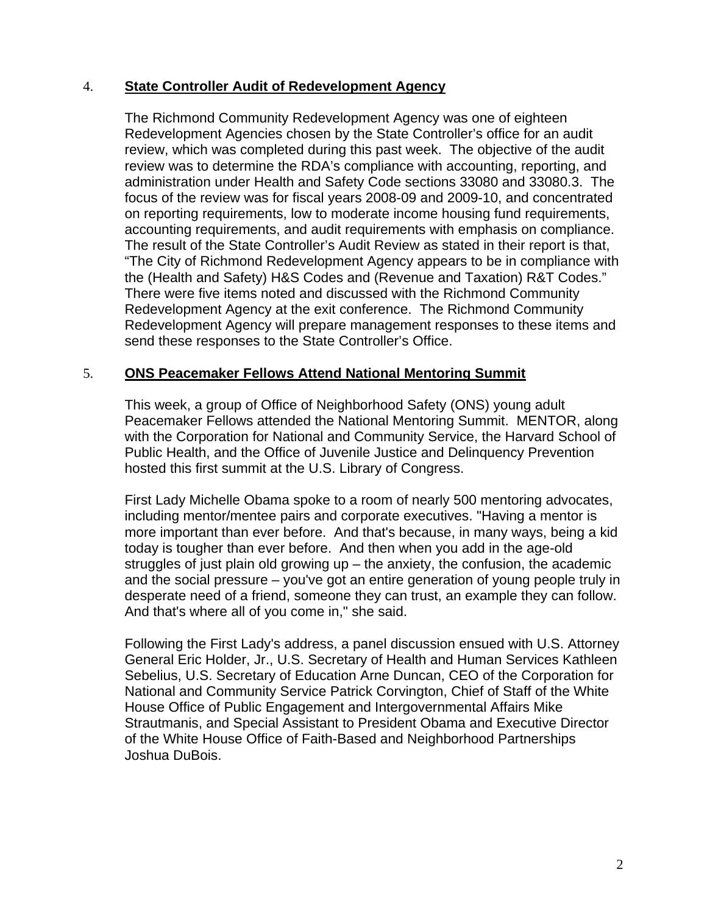### 4. **State Controller Audit of Redevelopment Agency**

The Richmond Community Redevelopment Agency was one of eighteen Redevelopment Agencies chosen by the State Controller's office for an audit review, which was completed during this past week. The objective of the audit review was to determine the RDA's compliance with accounting, reporting, and administration under Health and Safety Code sections 33080 and 33080.3. The focus of the review was for fiscal years 2008-09 and 2009-10, and concentrated on reporting requirements, low to moderate income housing fund requirements, accounting requirements, and audit requirements with emphasis on compliance. The result of the State Controller's Audit Review as stated in their report is that, "The City of Richmond Redevelopment Agency appears to be in compliance with the (Health and Safety) H&S Codes and (Revenue and Taxation) R&T Codes." There were five items noted and discussed with the Richmond Community Redevelopment Agency at the exit conference. The Richmond Community Redevelopment Agency will prepare management responses to these items and send these responses to the State Controller's Office.

#### 5. **ONS Peacemaker Fellows Attend National Mentoring Summit**

This week, a group of Office of Neighborhood Safety (ONS) young adult Peacemaker Fellows attended the National Mentoring Summit. MENTOR, along with the Corporation for National and Community Service, the Harvard School of Public Health, and the Office of Juvenile Justice and Delinquency Prevention hosted this first summit at the U.S. Library of Congress.

First Lady Michelle Obama spoke to a room of nearly 500 mentoring advocates, including mentor/mentee pairs and corporate executives. "Having a mentor is more important than ever before. And that's because, in many ways, being a kid today is tougher than ever before. And then when you add in the age-old struggles of just plain old growing up – the anxiety, the confusion, the academic and the social pressure – you've got an entire generation of young people truly in desperate need of a friend, someone they can trust, an example they can follow. And that's where all of you come in," she said.

Following the First Lady's address, a panel discussion ensued with U.S. Attorney General Eric Holder, Jr., U.S. Secretary of Health and Human Services Kathleen Sebelius, U.S. Secretary of Education Arne Duncan, CEO of the Corporation for National and Community Service Patrick Corvington, Chief of Staff of the White House Office of Public Engagement and Intergovernmental Affairs Mike Strautmanis, and Special Assistant to President Obama and Executive Director of the White House Office of Faith-Based and Neighborhood Partnerships Joshua DuBois.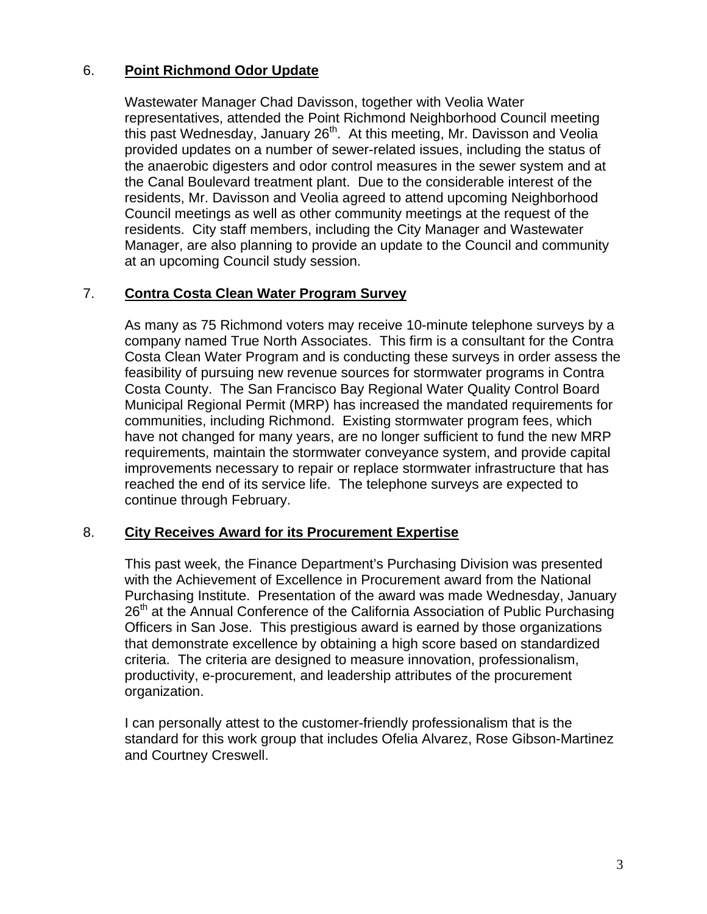## 6. **Point Richmond Odor Update**

Wastewater Manager Chad Davisson, together with Veolia Water representatives, attended the Point Richmond Neighborhood Council meeting this past Wednesday, January 26<sup>th</sup>. At this meeting, Mr. Davisson and Veolia provided updates on a number of sewer-related issues, including the status of the anaerobic digesters and odor control measures in the sewer system and at the Canal Boulevard treatment plant. Due to the considerable interest of the residents, Mr. Davisson and Veolia agreed to attend upcoming Neighborhood Council meetings as well as other community meetings at the request of the residents. City staff members, including the City Manager and Wastewater Manager, are also planning to provide an update to the Council and community at an upcoming Council study session.

#### 7. **Contra Costa Clean Water Program Survey**

As many as 75 Richmond voters may receive 10-minute telephone surveys by a company named True North Associates. This firm is a consultant for the Contra Costa Clean Water Program and is conducting these surveys in order assess the feasibility of pursuing new revenue sources for stormwater programs in Contra Costa County. The San Francisco Bay Regional Water Quality Control Board Municipal Regional Permit (MRP) has increased the mandated requirements for communities, including Richmond. Existing stormwater program fees, which have not changed for many years, are no longer sufficient to fund the new MRP requirements, maintain the stormwater conveyance system, and provide capital improvements necessary to repair or replace stormwater infrastructure that has reached the end of its service life. The telephone surveys are expected to continue through February.

#### 8. **City Receives Award for its Procurement Expertise**

This past week, the Finance Department's Purchasing Division was presented with the Achievement of Excellence in Procurement award from the National Purchasing Institute. Presentation of the award was made Wednesday, January 26<sup>th</sup> at the Annual Conference of the California Association of Public Purchasing Officers in San Jose. This prestigious award is earned by those organizations that demonstrate excellence by obtaining a high score based on standardized criteria. The criteria are designed to measure innovation, professionalism, productivity, e-procurement, and leadership attributes of the procurement organization.

I can personally attest to the customer-friendly professionalism that is the standard for this work group that includes Ofelia Alvarez, Rose Gibson-Martinez and Courtney Creswell.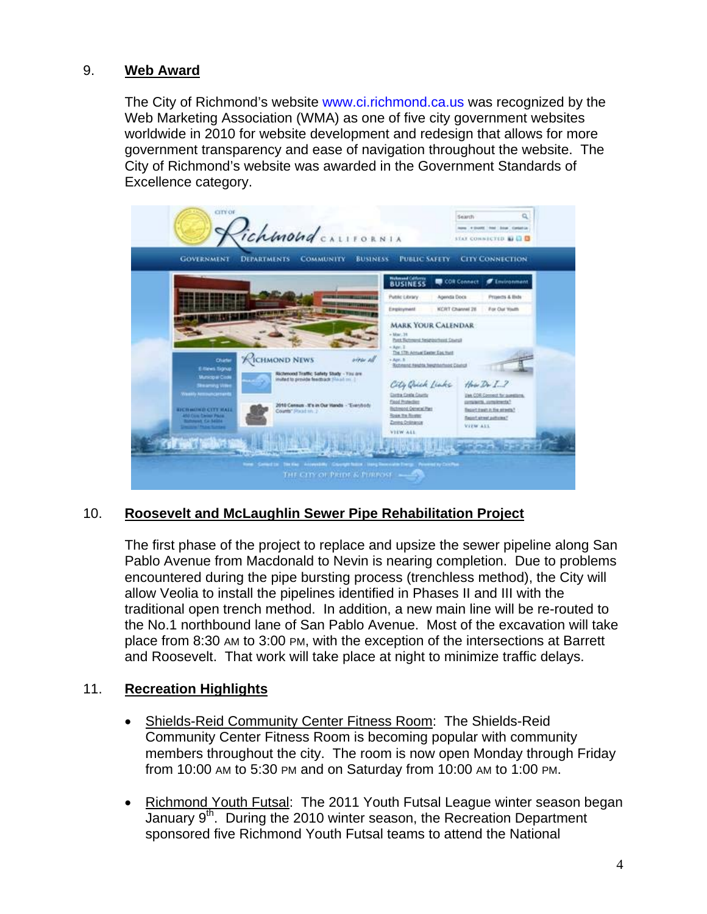### 9. **Web Award**

The City of Richmond's website [www.ci.richmond.ca.us](http://www.ci.richmond.ca.us/) was recognized by the Web Marketing Association (WMA) as one of five city government websites worldwide in 2010 for website development and redesign that allows for more government transparency and ease of navigation throughout the website. The City of Richmond's website was awarded in the Government Standards of Excellence category.



# 10. **Roosevelt and McLaughlin Sewer Pipe Rehabilitation Project**

The first phase of the project to replace and upsize the sewer pipeline along San Pablo Avenue from Macdonald to Nevin is nearing completion. Due to problems encountered during the pipe bursting process (trenchless method), the City will allow Veolia to install the pipelines identified in Phases II and III with the traditional open trench method. In addition, a new main line will be re-routed to the No.1 northbound lane of San Pablo Avenue. Most of the excavation will take place from 8:30 AM to 3:00 PM, with the exception of the intersections at Barrett and Roosevelt. That work will take place at night to minimize traffic delays.

## 11. **Recreation Highlights**

- Shields-Reid Community Center Fitness Room: The Shields-Reid Community Center Fitness Room is becoming popular with community members throughout the city. The room is now open Monday through Friday from 10:00 AM to 5:30 PM and on Saturday from 10:00 AM to 1:00 PM.
- Richmond Youth Futsal: The 2011 Youth Futsal League winter season began January 9<sup>th</sup>. During the 2010 winter season, the Recreation Department sponsored five Richmond Youth Futsal teams to attend the National